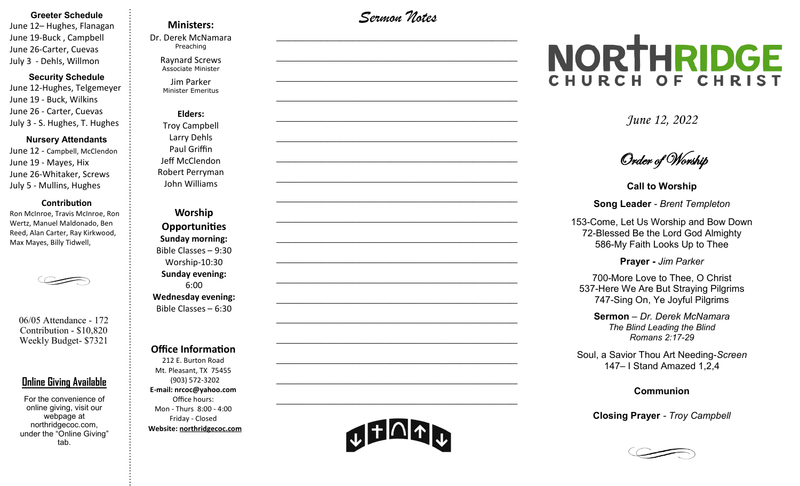#### **Greeter Schedule**

June 12– Hughes, Flanagan June 19-Buck , Campbell June 26-Carter, Cuevas July 3 - Dehls, Willmon

#### **Security Schedule**

June 12-Hughes, Telgemeyer June 19 - Buck, Wilkins June 26 - Carter, Cuevas July 3 - S. Hughes, T. Hughes

#### **Nursery Attendants**

June 12 - Campbell, McClendon June 19 - Mayes, Hix June 26-Whitaker, Screws July 5 - Mullins, Hughes

#### **Contribution**

Ron McInroe, Travis McInroe, Ron Wertz, Manuel Maldonado, Ben Reed, Alan Carter, Ray Kirkwood, Max Mayes, Billy Tidwell,



06/05 Attendance - 172 Contribution - \$10,820 Weekly Budget- \$7321

## **Online Giving Available**

For the convenience of online giving, visit our webpage at northridgecoc.com, under the "Online Giving" tab.

## **Ministers:**

Dr. Derek McNamara Preaching 

Raynard Screws Associate Minister

Jim Parker Minister Emeritus

## **Elders:** Troy Campbell Larry Dehls Paul Griffin Jeff McClendon Robert Perryman

John Williams

**Worship Opportunities Sunday morning:**  Bible Classes – 9:30 Worship-10:30 **Sunday evening:**  6:00 **Wednesday evening:** Bible Classes – 6:30

### **Office Information**

212 E. Burton Road Mt. Pleasant, TX 75455 (903) 572-3202 **E-mail: nrcoc@yahoo.com** Office hours: Mon - Thurs 8:00 - 4:00 Friday - Closed **Website: northridgecoc.com**

*Sermon Notes*

 $\mathcal{L}_\text{max}$ 

 $\mathcal{L}_\text{max}$  , and the set of the set of the set of the set of the set of the set of the set of the set of the set of the set of the set of the set of the set of the set of the set of the set of the set of the set of the

 $\mathcal{L}_\text{max}$  , and the set of the set of the set of the set of the set of the set of the set of the set of the set of the set of the set of the set of the set of the set of the set of the set of the set of the set of the

 $\mathcal{L}_\text{max}$  , and the set of the set of the set of the set of the set of the set of the set of the set of the set of the set of the set of the set of the set of the set of the set of the set of the set of the set of the

 $\mathcal{L}_\text{max}$ 

 $\mathcal{L}_\text{max}$ 

 $\mathcal{L}_\text{max}$  , and the set of the set of the set of the set of the set of the set of the set of the set of the set of the set of the set of the set of the set of the set of the set of the set of the set of the set of the

 $\mathcal{L}_\text{max}$  , and the set of the set of the set of the set of the set of the set of the set of the set of the set of the set of the set of the set of the set of the set of the set of the set of the set of the set of the

 $\mathcal{L}_\text{max}$  , and the set of the set of the set of the set of the set of the set of the set of the set of the set of the set of the set of the set of the set of the set of the set of the set of the set of the set of the

 $\mathcal{L}_\text{max}$ 

 $\mathcal{L}_\text{max}$  , and the set of the set of the set of the set of the set of the set of the set of the set of the set of the set of the set of the set of the set of the set of the set of the set of the set of the set of the

 $\mathcal{L}_\text{max}$  , and the set of the set of the set of the set of the set of the set of the set of the set of the set of the set of the set of the set of the set of the set of the set of the set of the set of the set of the

 $\mathcal{L}_\text{max}$  , and the set of the set of the set of the set of the set of the set of the set of the set of the set of the set of the set of the set of the set of the set of the set of the set of the set of the set of the

 $\mathcal{L}_\text{max}$  , and the set of the set of the set of the set of the set of the set of the set of the set of the set of the set of the set of the set of the set of the set of the set of the set of the set of the set of the

 $\mathcal{L}_\text{max}$ 

 $\mathcal{L}_\text{max}$  , and the set of the set of the set of the set of the set of the set of the set of the set of the set of the set of the set of the set of the set of the set of the set of the set of the set of the set of the

 $\mathcal{L}_\text{max}$  , and the set of the set of the set of the set of the set of the set of the set of the set of the set of the set of the set of the set of the set of the set of the set of the set of the set of the set of the

 $\mathcal{L}_\text{max}$  , and the set of the set of the set of the set of the set of the set of the set of the set of the set of the set of the set of the set of the set of the set of the set of the set of the set of the set of the

 $\mathcal{L}_\text{max}$  , and the set of the set of the set of the set of the set of the set of the set of the set of the set of the set of the set of the set of the set of the set of the set of the set of the set of the set of the

# NORTHRIDGE CHURCH OF CHRIST

*June 12, 2022*

Order of Worship

**Call to Worship**

**Song Leader** *- Brent Templeton*

153-Come, Let Us Worship and Bow Down 72-Blessed Be the Lord God Almighty 586-My Faith Looks Up to Thee

**Prayer -** *Jim Parker*

700-More Love to Thee, O Christ 537-Here We Are But Straying Pilgrims 747-Sing On, Ye Joyful Pilgrims

**Sermon** – *Dr. Derek McNamara The Blind Leading the Blind Romans 2:17-29*

Soul, a Savior Thou Art Needing-*Screen* 147– I Stand Amazed 1,2,4

#### **Communion**

**Closing Prayer** *- Troy Campbell*